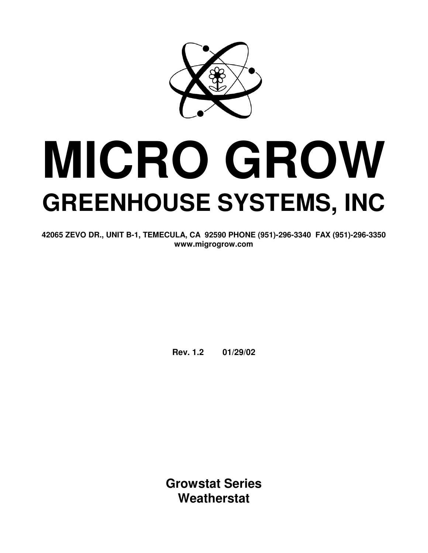

# **MICRO GROW GREENHOUSE SYSTEMS, INC**

**42065 ZEVO DR., UNIT B-1, TEMECULA, CA 92590 PHONE (951)-296-3340 FAX (951)-296-3350 www.migrogrow.com** 

**Rev. 1.2 01/29/02** 

**Growstat Series Weatherstat**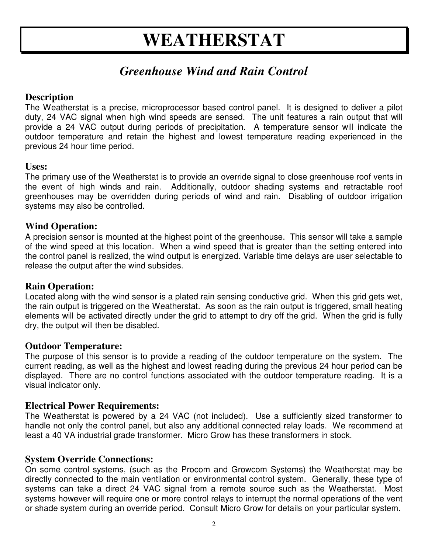# **WEATHERSTAT**

## *Greenhouse Wind and Rain Control*

#### **Description**

The Weatherstat is a precise, microprocessor based control panel. It is designed to deliver a pilot duty, 24 VAC signal when high wind speeds are sensed. The unit features a rain output that will provide a 24 VAC output during periods of precipitation. A temperature sensor will indicate the outdoor temperature and retain the highest and lowest temperature reading experienced in the previous 24 hour time period.

#### **Uses:**

The primary use of the Weatherstat is to provide an override signal to close greenhouse roof vents in the event of high winds and rain. Additionally, outdoor shading systems and retractable roof greenhouses may be overridden during periods of wind and rain. Disabling of outdoor irrigation systems may also be controlled.

#### **Wind Operation:**

A precision sensor is mounted at the highest point of the greenhouse. This sensor will take a sample of the wind speed at this location. When a wind speed that is greater than the setting entered into the control panel is realized, the wind output is energized. Variable time delays are user selectable to release the output after the wind subsides.

#### **Rain Operation:**

Located along with the wind sensor is a plated rain sensing conductive grid. When this grid gets wet, the rain output is triggered on the Weatherstat. As soon as the rain output is triggered, small heating elements will be activated directly under the grid to attempt to dry off the grid. When the grid is fully dry, the output will then be disabled.

#### **Outdoor Temperature:**

The purpose of this sensor is to provide a reading of the outdoor temperature on the system. The current reading, as well as the highest and lowest reading during the previous 24 hour period can be displayed. There are no control functions associated with the outdoor temperature reading. It is a visual indicator only.

#### **Electrical Power Requirements:**

The Weatherstat is powered by a 24 VAC (not included). Use a sufficiently sized transformer to handle not only the control panel, but also any additional connected relay loads. We recommend at least a 40 VA industrial grade transformer. Micro Grow has these transformers in stock.

#### **System Override Connections:**

On some control systems, (such as the Procom and Growcom Systems) the Weatherstat may be directly connected to the main ventilation or environmental control system. Generally, these type of systems can take a direct 24 VAC signal from a remote source such as the Weatherstat. Most systems however will require one or more control relays to interrupt the normal operations of the vent or shade system during an override period. Consult Micro Grow for details on your particular system.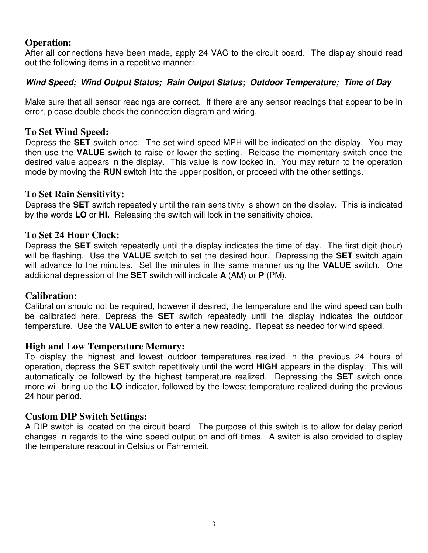#### **Operation:**

After all connections have been made, apply 24 VAC to the circuit board. The display should read out the following items in a repetitive manner:

#### **Wind Speed; Wind Output Status; Rain Output Status; Outdoor Temperature; Time of Day**

Make sure that all sensor readings are correct. If there are any sensor readings that appear to be in error, please double check the connection diagram and wiring.

#### **To Set Wind Speed:**

Depress the **SET** switch once. The set wind speed MPH will be indicated on the display. You may then use the **VALUE** switch to raise or lower the setting. Release the momentary switch once the desired value appears in the display. This value is now locked in. You may return to the operation mode by moving the **RUN** switch into the upper position, or proceed with the other settings.

#### **To Set Rain Sensitivity:**

Depress the **SET** switch repeatedly until the rain sensitivity is shown on the display. This is indicated by the words **LO** or **HI.** Releasing the switch will lock in the sensitivity choice.

#### **To Set 24 Hour Clock:**

Depress the **SET** switch repeatedly until the display indicates the time of day. The first digit (hour) will be flashing. Use the **VALUE** switch to set the desired hour. Depressing the **SET** switch again will advance to the minutes. Set the minutes in the same manner using the **VALUE** switch. One additional depression of the **SET** switch will indicate **A** (AM) or **P** (PM).

#### **Calibration:**

Calibration should not be required, however if desired, the temperature and the wind speed can both be calibrated here. Depress the **SET** switch repeatedly until the display indicates the outdoor temperature. Use the **VALUE** switch to enter a new reading. Repeat as needed for wind speed.

#### **High and Low Temperature Memory:**

To display the highest and lowest outdoor temperatures realized in the previous 24 hours of operation, depress the **SET** switch repetitively until the word **HIGH** appears in the display. This will automatically be followed by the highest temperature realized. Depressing the **SET** switch once more will bring up the **LO** indicator, followed by the lowest temperature realized during the previous 24 hour period.

#### **Custom DIP Switch Settings:**

A DIP switch is located on the circuit board. The purpose of this switch is to allow for delay period changes in regards to the wind speed output on and off times. A switch is also provided to display the temperature readout in Celsius or Fahrenheit.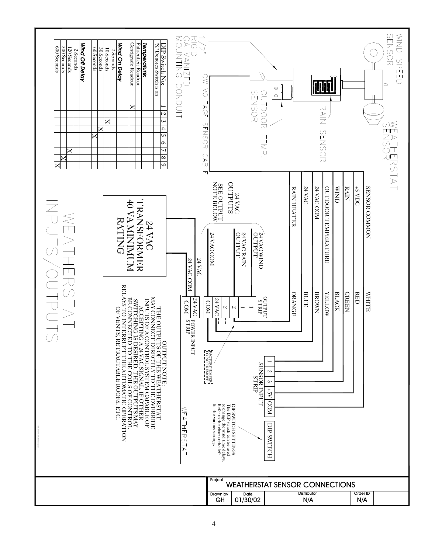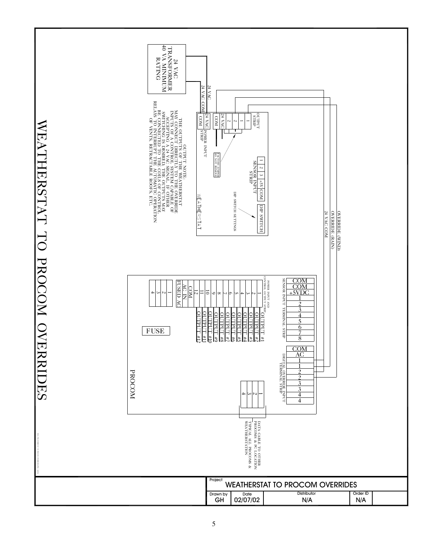24 VAC<br>TRANSFORMER<br>40 VA MINIMUM<br>RATING<br>RATING 40 VA MINIMUM TRANSFORMER RATING 24 VAC 24 VAC COM 24 VAC COM THE OUTPUT IN THE TANDIBUT AND THE STATE AND CONNECT DIRECTLY TO THE OVERBUDE IN A STATE AND RELATIONSHIPS OF A STATE AND STATE AND RELATIONSHIPS OF A STATE OF A STATE OF A STATE OF A STATE OF A STATE OF A STATE OF A STATE RELAYS TO INTERRUPT THE AUTOMATIC OPERATION BE CONNECTED TO THE COILS OF CONTROL INPUTS OF A CONTROL SYSTEM CAPABLE OF MAY CONNECT DIRECTLY TO THE OVERRIDE **STRIPT**  $\frac{124 \text{ VA}}{ \text{ COM}}$ SWITCHING IS DESIRED, THE OUTPUTS MAY OUTPUT 24 VAC POWER INPUT NOO<br>OVA FZ ACCEPTING A 24 VAC SIGNAL. IF OTHER THE OUTPUTS OF THE WEATHERSTAT OF VENTS, RETRACTABLE ROOFS, ETC. WEATHERSTAT TO PROCOM OVERRIDES WEATHERSTAT TO PROCOM OVERRIDES  $\overline{2}$  $\overline{2}$  $\overline{\phantom{0}}$  $\overline{\phantom{0}}$ POWER INPUT I I OUTPUT NOTE: DO NOT REMOVE FACTORY JUMPER  $\begin{tabular}{c|c|c} \hline 1 & 2 & 3 & +5\times \hline CO \\ \hline SENSOR INPUT \\ \hline SENSOR INPUT \\ \hline \end{tabular}$ T 2 | 3 | 3 | 2 2 2 SENSOR INPUT **JUMPER**<br>RENOVE FSV COM DIP SWITCH SETTINGS DIP SWITCH SETTINGS WEATHERSTAT нолим ага DIP SWITCH **OVERRIDE (WIND)**<br>OVERRIDE (RAIN) 24 VAC COM 24 VAC COM OVERRIDE (RAIN) OVERRIDE (WIND) POWER INFORMATION CONTROL OUTPUT STRIP COM TURN ROSNES SENSOR INPUT TERMINAL STRIP **FUSED AC** FUSED AC POWER INPUT AND AC IN COM COM  $+\frac{5}{\sqrt{1}}$ 4 12  $\overline{0}$ ። 3  $\sim$  $\overline{\phantom{0}}$ For Projection and Contract to the Second Stray<br>59 October 2014  $^{\circ}$  $\lq$ ూ Un 4 ىئ  $\sim$  $\overline{\phantom{0}}$  $\frac{2}{3}$ <br> $\frac{4}{5}$ <br> $\frac{6}{7}$ <br>8<br>CON<br>AC TERMINAL STRIP  $\overline{\mathbf{3}}$ OUTPUT #12 OUTPUT #11 OUTPUT #10  $\overline{4}$ OUTPUT #8 OUTPUT #7 OUTPUT #6 OUTPUT #5 OUTPUT #4 OUTPUT #3 OUTPUT #2 OUTPUT #1 5  $\frac{8}{6}$ FUSE  $\frac{78}{28}$   $\frac{0}{11}$  $\frac{1}{22}$  $\frac{23}{3}$  $\overline{8}$ COM<br>AC DIGITAL OVERRIDE INPUT DIGITAL OVERRIDE INPUT  $\mathbf{1}$ TERMINAL STRIP  $\mathcal{L}$ PROCOM っ  $\overline{3}$  $\frac{3}{4}$ 4 ىئ  $\sim$  $\overline{\phantom{0}}$ 4 Distributor 4 Distributor WEATHERSTAT TO PROCOM OVERRIDES FIELD: OVERFRIDENCE TO PROCEDURE OF A SHORT TO WG 02/07/02 Project Drawn by<br>**GH** Date Order ID N/A 02/07/02 GH N/A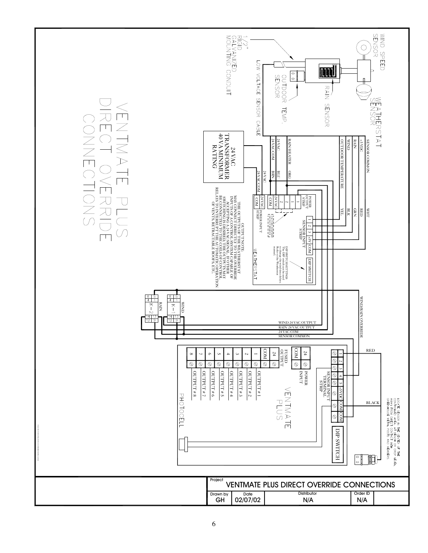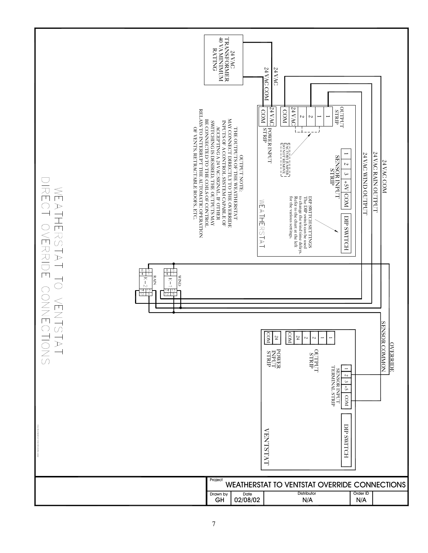